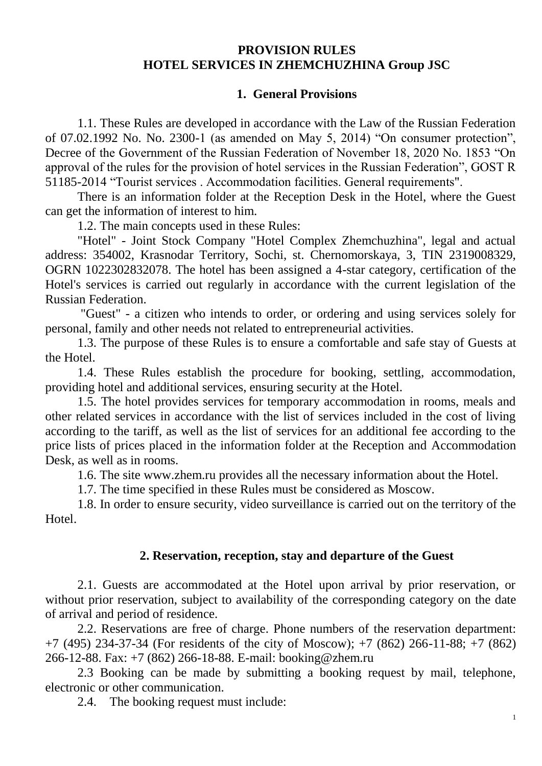#### **PROVISION RULES HOTEL SERVICES IN ZHEMCHUZHINA Group JSC**

#### **1. General Provisions**

1.1. These Rules are developed in accordance with the Law of the Russian Federation of 07.02.1992 No. No. 2300-1 (as amended on May 5, 2014) "On consumer protection", Decree of the Government of the Russian Federation of November 18, 2020 No. 1853 "On approval of the rules for the provision of hotel services in the Russian Federation", GOST R 51185-2014 "Tourist services . Accommodation facilities. General requirements".

There is an information folder at the Reception Desk in the Hotel, where the Guest can get the information of interest to him.

1.2. The main concepts used in these Rules:

"Hotel" - Joint Stock Company "Hotel Complex Zhemchuzhina", legal and actual address: 354002, Krasnodar Territory, Sochi, st. Chernomorskaya, 3, TIN 2319008329, OGRN 1022302832078. The hotel has been assigned a 4-star category, certification of the Hotel's services is carried out regularly in accordance with the current legislation of the Russian Federation.

"Guest" - a citizen who intends to order, or ordering and using services solely for personal, family and other needs not related to entrepreneurial activities.

1.3. The purpose of these Rules is to ensure a comfortable and safe stay of Guests at the Hotel.

1.4. These Rules establish the procedure for booking, settling, accommodation, providing hotel and additional services, ensuring security at the Hotel.

1.5. The hotel provides services for temporary accommodation in rooms, meals and other related services in accordance with the list of services included in the cost of living according to the tariff, as well as the list of services for an additional fee according to the price lists of prices placed in the information folder at the Reception and Accommodation Desk, as well as in rooms.

1.6. The site www.zhem.ru provides all the necessary information about the Hotel.

1.7. The time specified in these Rules must be considered as Moscow.

1.8. In order to ensure security, video surveillance is carried out on the territory of the Hotel.

### **2. Reservation, reception, stay and departure of the Guest**

2.1. Guests are accommodated at the Hotel upon arrival by prior reservation, or without prior reservation, subject to availability of the corresponding category on the date of arrival and period of residence.

2.2. Reservations are free of charge. Phone numbers of the reservation department: +7 (495) 234-37-34 (For residents of the city of Moscow); +7 (862) 266-11-88; +7 (862) 266-12-88. Fax: +7 (862) 266-18-88. E-mail: booking@zhem.ru

2.3 Booking can be made by submitting a booking request by mail, telephone, electronic or other communication.

2.4. The booking request must include: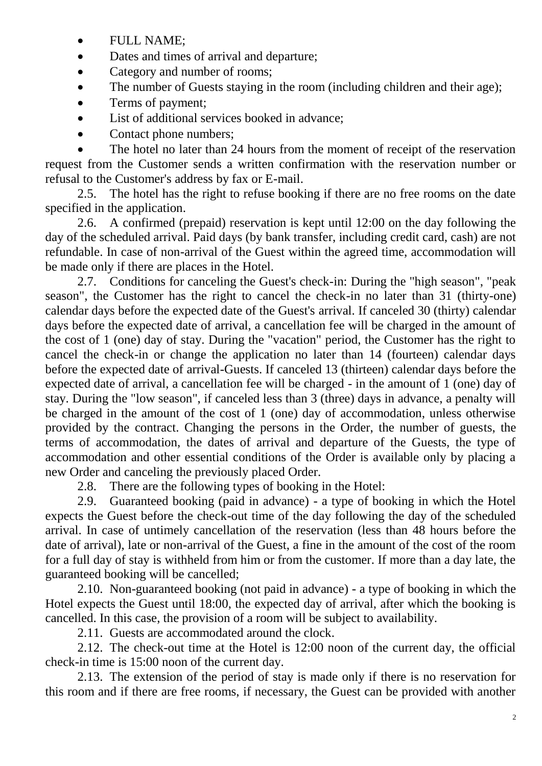- FULL NAME;
- Dates and times of arrival and departure:
- Category and number of rooms;
- The number of Guests staying in the room (including children and their age);
- Terms of payment;
- List of additional services booked in advance;
- Contact phone numbers;

 The hotel no later than 24 hours from the moment of receipt of the reservation request from the Customer sends a written confirmation with the reservation number or refusal to the Customer's address by fax or E-mail.

2.5. The hotel has the right to refuse booking if there are no free rooms on the date specified in the application.

2.6. A confirmed (prepaid) reservation is kept until 12:00 on the day following the day of the scheduled arrival. Paid days (by bank transfer, including credit card, cash) are not refundable. In case of non-arrival of the Guest within the agreed time, accommodation will be made only if there are places in the Hotel.

2.7. Conditions for canceling the Guest's check-in: During the "high season", "peak season", the Customer has the right to cancel the check-in no later than 31 (thirty-one) calendar days before the expected date of the Guest's arrival. If canceled 30 (thirty) calendar days before the expected date of arrival, a cancellation fee will be charged in the amount of the cost of 1 (one) day of stay. During the "vacation" period, the Customer has the right to cancel the check-in or change the application no later than 14 (fourteen) calendar days before the expected date of arrival-Guests. If canceled 13 (thirteen) calendar days before the expected date of arrival, a cancellation fee will be charged - in the amount of 1 (one) day of stay. During the "low season", if canceled less than 3 (three) days in advance, a penalty will be charged in the amount of the cost of 1 (one) day of accommodation, unless otherwise provided by the contract. Changing the persons in the Order, the number of guests, the terms of accommodation, the dates of arrival and departure of the Guests, the type of accommodation and other essential conditions of the Order is available only by placing a new Order and canceling the previously placed Order.

2.8. There are the following types of booking in the Hotel:

2.9. Guaranteed booking (paid in advance) - a type of booking in which the Hotel expects the Guest before the check-out time of the day following the day of the scheduled arrival. In case of untimely cancellation of the reservation (less than 48 hours before the date of arrival), late or non-arrival of the Guest, a fine in the amount of the cost of the room for a full day of stay is withheld from him or from the customer. If more than a day late, the guaranteed booking will be cancelled;

2.10. Non-guaranteed booking (not paid in advance) - a type of booking in which the Hotel expects the Guest until 18:00, the expected day of arrival, after which the booking is cancelled. In this case, the provision of a room will be subject to availability.

2.11. Guests are accommodated around the clock.

2.12. The check-out time at the Hotel is 12:00 noon of the current day, the official check-in time is 15:00 noon of the current day.

2.13. The extension of the period of stay is made only if there is no reservation for this room and if there are free rooms, if necessary, the Guest can be provided with another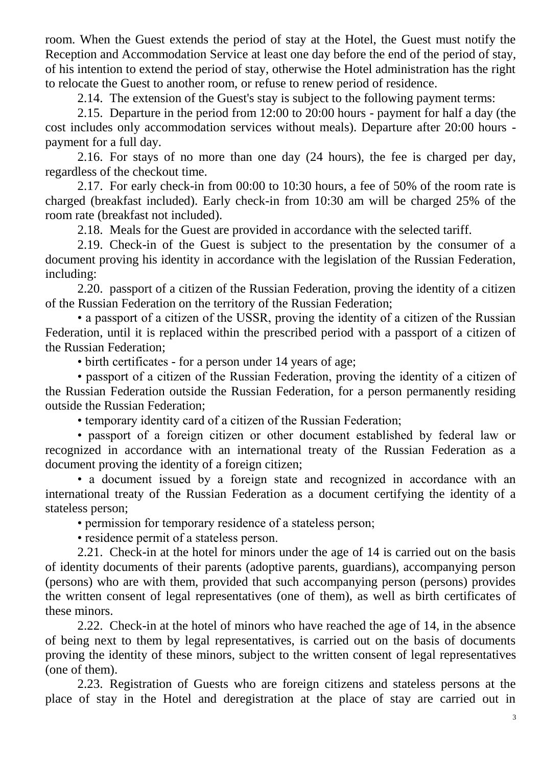room. When the Guest extends the period of stay at the Hotel, the Guest must notify the Reception and Accommodation Service at least one day before the end of the period of stay, of his intention to extend the period of stay, otherwise the Hotel administration has the right to relocate the Guest to another room, or refuse to renew period of residence.

2.14. The extension of the Guest's stay is subject to the following payment terms:

2.15. Departure in the period from 12:00 to 20:00 hours - payment for half a day (the cost includes only accommodation services without meals). Departure after 20:00 hours payment for a full day.

2.16. For stays of no more than one day (24 hours), the fee is charged per day, regardless of the checkout time.

2.17. For early check-in from 00:00 to 10:30 hours, a fee of 50% of the room rate is charged (breakfast included). Early check-in from 10:30 am will be charged 25% of the room rate (breakfast not included).

2.18. Meals for the Guest are provided in accordance with the selected tariff.

2.19. Check-in of the Guest is subject to the presentation by the consumer of a document proving his identity in accordance with the legislation of the Russian Federation, including:

2.20. passport of a citizen of the Russian Federation, proving the identity of a citizen of the Russian Federation on the territory of the Russian Federation;

• a passport of a citizen of the USSR, proving the identity of a citizen of the Russian Federation, until it is replaced within the prescribed period with a passport of a citizen of the Russian Federation;

• birth certificates - for a person under 14 years of age;

• passport of a citizen of the Russian Federation, proving the identity of a citizen of the Russian Federation outside the Russian Federation, for a person permanently residing outside the Russian Federation;

• temporary identity card of a citizen of the Russian Federation;

• passport of a foreign citizen or other document established by federal law or recognized in accordance with an international treaty of the Russian Federation as a document proving the identity of a foreign citizen;

• a document issued by a foreign state and recognized in accordance with an international treaty of the Russian Federation as a document certifying the identity of a stateless person;

• permission for temporary residence of a stateless person;

• residence permit of a stateless person.

2.21. Check-in at the hotel for minors under the age of 14 is carried out on the basis of identity documents of their parents (adoptive parents, guardians), accompanying person (persons) who are with them, provided that such accompanying person (persons) provides the written consent of legal representatives (one of them), as well as birth certificates of these minors.

2.22. Check-in at the hotel of minors who have reached the age of 14, in the absence of being next to them by legal representatives, is carried out on the basis of documents proving the identity of these minors, subject to the written consent of legal representatives (one of them).

2.23. Registration of Guests who are foreign citizens and stateless persons at the place of stay in the Hotel and deregistration at the place of stay are carried out in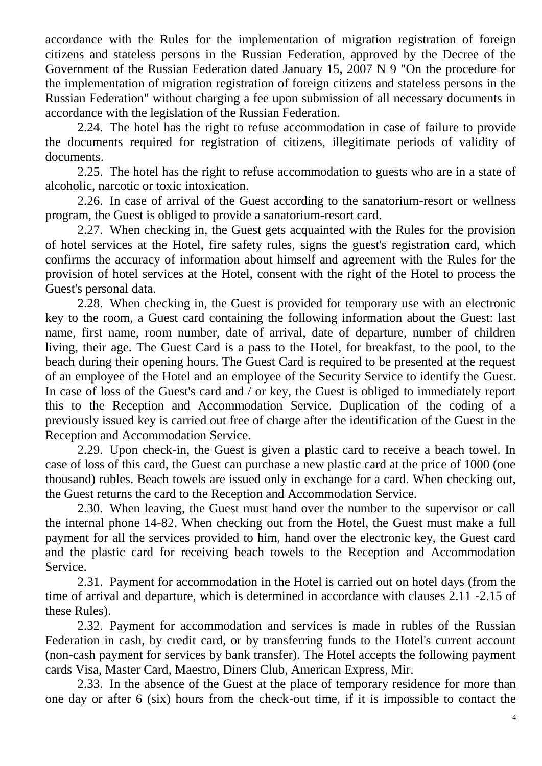accordance with the Rules for the implementation of migration registration of foreign citizens and stateless persons in the Russian Federation, approved by the Decree of the Government of the Russian Federation dated January 15, 2007 N 9 "On the procedure for the implementation of migration registration of foreign citizens and stateless persons in the Russian Federation" without charging a fee upon submission of all necessary documents in accordance with the legislation of the Russian Federation.

2.24. The hotel has the right to refuse accommodation in case of failure to provide the documents required for registration of citizens, illegitimate periods of validity of documents.

2.25. The hotel has the right to refuse accommodation to guests who are in a state of alcoholic, narcotic or toxic intoxication.

2.26. In case of arrival of the Guest according to the sanatorium-resort or wellness program, the Guest is obliged to provide a sanatorium-resort card.

2.27. When checking in, the Guest gets acquainted with the Rules for the provision of hotel services at the Hotel, fire safety rules, signs the guest's registration card, which confirms the accuracy of information about himself and agreement with the Rules for the provision of hotel services at the Hotel, consent with the right of the Hotel to process the Guest's personal data.

2.28. When checking in, the Guest is provided for temporary use with an electronic key to the room, a Guest card containing the following information about the Guest: last name, first name, room number, date of arrival, date of departure, number of children living, their age. The Guest Card is a pass to the Hotel, for breakfast, to the pool, to the beach during their opening hours. The Guest Card is required to be presented at the request of an employee of the Hotel and an employee of the Security Service to identify the Guest. In case of loss of the Guest's card and / or key, the Guest is obliged to immediately report this to the Reception and Accommodation Service. Duplication of the coding of a previously issued key is carried out free of charge after the identification of the Guest in the Reception and Accommodation Service.

2.29. Upon check-in, the Guest is given a plastic card to receive a beach towel. In case of loss of this card, the Guest can purchase a new plastic card at the price of 1000 (one thousand) rubles. Beach towels are issued only in exchange for a card. When checking out, the Guest returns the card to the Reception and Accommodation Service.

2.30. When leaving, the Guest must hand over the number to the supervisor or call the internal phone 14-82. When checking out from the Hotel, the Guest must make a full payment for all the services provided to him, hand over the electronic key, the Guest card and the plastic card for receiving beach towels to the Reception and Accommodation Service.

2.31. Payment for accommodation in the Hotel is carried out on hotel days (from the time of arrival and departure, which is determined in accordance with clauses 2.11 -2.15 of these Rules).

2.32. Payment for accommodation and services is made in rubles of the Russian Federation in cash, by credit card, or by transferring funds to the Hotel's current account (non-cash payment for services by bank transfer). The Hotel accepts the following payment cards Visa, Master Card, Maestro, Diners Club, American Express, Mir.

2.33. In the absence of the Guest at the place of temporary residence for more than one day or after 6 (six) hours from the check-out time, if it is impossible to contact the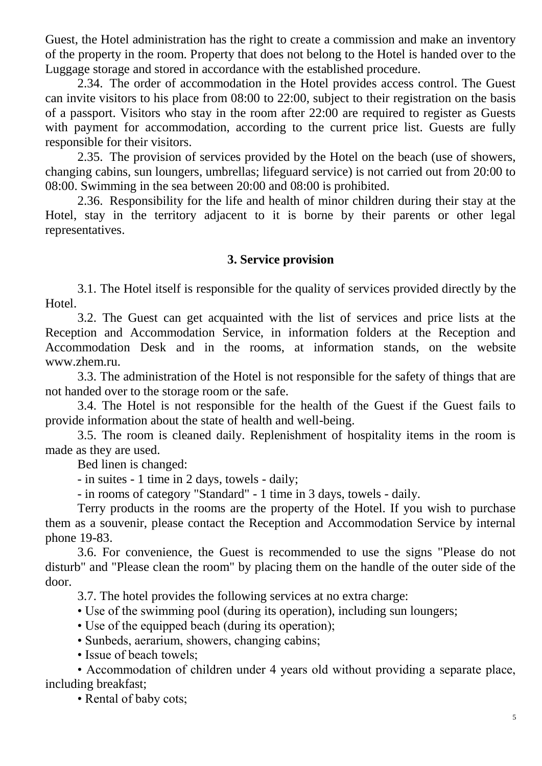Guest, the Hotel administration has the right to create a commission and make an inventory of the property in the room. Property that does not belong to the Hotel is handed over to the Luggage storage and stored in accordance with the established procedure.

2.34. The order of accommodation in the Hotel provides access control. The Guest can invite visitors to his place from 08:00 to 22:00, subject to their registration on the basis of a passport. Visitors who stay in the room after 22:00 are required to register as Guests with payment for accommodation, according to the current price list. Guests are fully responsible for their visitors.

2.35. The provision of services provided by the Hotel on the beach (use of showers, changing cabins, sun loungers, umbrellas; lifeguard service) is not carried out from 20:00 to 08:00. Swimming in the sea between 20:00 and 08:00 is prohibited.

2.36. Responsibility for the life and health of minor children during their stay at the Hotel, stay in the territory adjacent to it is borne by their parents or other legal representatives.

### **3. Service provision**

3.1. The Hotel itself is responsible for the quality of services provided directly by the Hotel.

3.2. The Guest can get acquainted with the list of services and price lists at the Reception and Accommodation Service, in information folders at the Reception and Accommodation Desk and in the rooms, at information stands, on the website www.zhem.ru.

3.3. The administration of the Hotel is not responsible for the safety of things that are not handed over to the storage room or the safe.

3.4. The Hotel is not responsible for the health of the Guest if the Guest fails to provide information about the state of health and well-being.

3.5. The room is cleaned daily. Replenishment of hospitality items in the room is made as they are used.

Bed linen is changed:

- in suites - 1 time in 2 days, towels - daily;

- in rooms of category "Standard" - 1 time in 3 days, towels - daily.

Terry products in the rooms are the property of the Hotel. If you wish to purchase them as a souvenir, please contact the Reception and Accommodation Service by internal phone 19-83.

3.6. For convenience, the Guest is recommended to use the signs "Please do not disturb" and "Please clean the room" by placing them on the handle of the outer side of the door.

3.7. The hotel provides the following services at no extra charge:

• Use of the swimming pool (during its operation), including sun loungers;

• Use of the equipped beach (during its operation);

• Sunbeds, aerarium, showers, changing cabins;

• Issue of beach towels:

• Accommodation of children under 4 years old without providing a separate place, including breakfast;

• Rental of baby cots;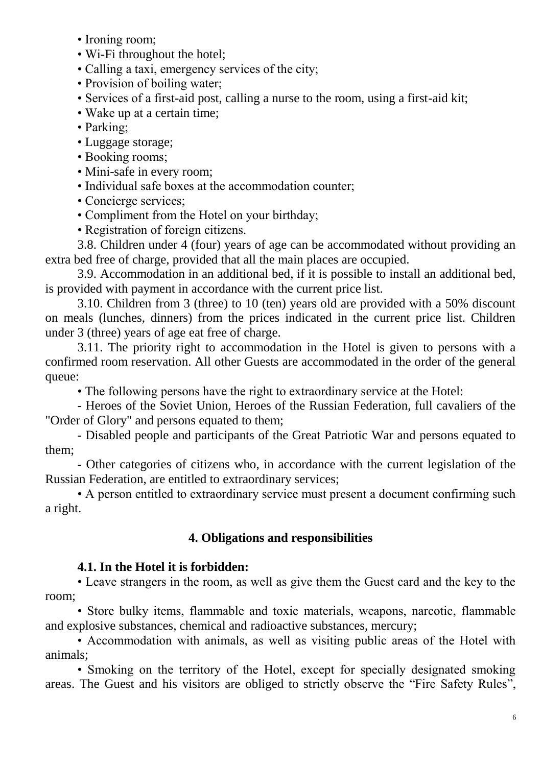- Ironing room;
- Wi-Fi throughout the hotel;
- Calling a taxi, emergency services of the city;
- Provision of boiling water;
- Services of a first-aid post, calling a nurse to the room, using a first-aid kit;
- Wake up at a certain time;
- Parking;
- Luggage storage;
- Booking rooms;
- Mini-safe in every room;
- Individual safe boxes at the accommodation counter;
- Concierge services;
- Compliment from the Hotel on your birthday;
- Registration of foreign citizens.

3.8. Children under 4 (four) years of age can be accommodated without providing an extra bed free of charge, provided that all the main places are occupied.

3.9. Accommodation in an additional bed, if it is possible to install an additional bed, is provided with payment in accordance with the current price list.

3.10. Children from 3 (three) to 10 (ten) years old are provided with a 50% discount on meals (lunches, dinners) from the prices indicated in the current price list. Children under 3 (three) years of age eat free of charge.

3.11. The priority right to accommodation in the Hotel is given to persons with a confirmed room reservation. All other Guests are accommodated in the order of the general queue:

• The following persons have the right to extraordinary service at the Hotel:

- Heroes of the Soviet Union, Heroes of the Russian Federation, full cavaliers of the "Order of Glory" and persons equated to them;

- Disabled people and participants of the Great Patriotic War and persons equated to them;

- Other categories of citizens who, in accordance with the current legislation of the Russian Federation, are entitled to extraordinary services;

• A person entitled to extraordinary service must present a document confirming such a right.

# **4. Obligations and responsibilities**

# **4.1. In the Hotel it is forbidden:**

• Leave strangers in the room, as well as give them the Guest card and the key to the room;

• Store bulky items, flammable and toxic materials, weapons, narcotic, flammable and explosive substances, chemical and radioactive substances, mercury;

• Accommodation with animals, as well as visiting public areas of the Hotel with animals;

• Smoking on the territory of the Hotel, except for specially designated smoking areas. The Guest and his visitors are obliged to strictly observe the "Fire Safety Rules",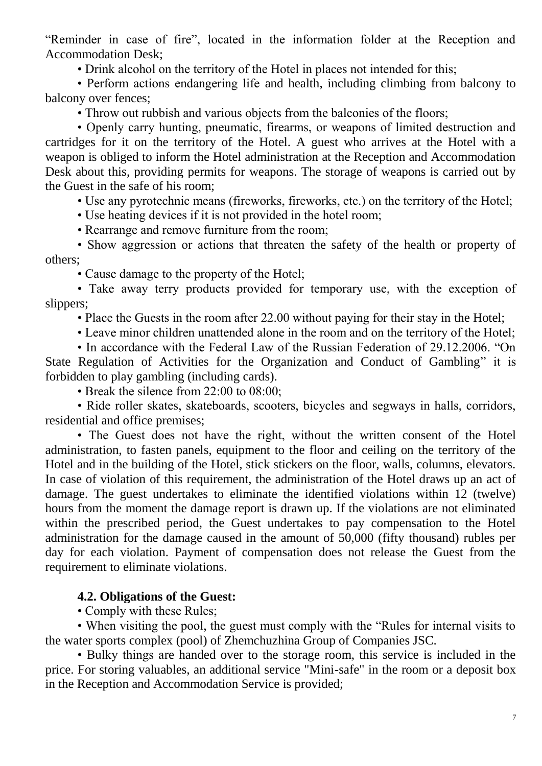"Reminder in case of fire", located in the information folder at the Reception and Accommodation Desk;

• Drink alcohol on the territory of the Hotel in places not intended for this;

• Perform actions endangering life and health, including climbing from balcony to balcony over fences;

• Throw out rubbish and various objects from the balconies of the floors;

• Openly carry hunting, pneumatic, firearms, or weapons of limited destruction and cartridges for it on the territory of the Hotel. A guest who arrives at the Hotel with a weapon is obliged to inform the Hotel administration at the Reception and Accommodation Desk about this, providing permits for weapons. The storage of weapons is carried out by the Guest in the safe of his room;

• Use any pyrotechnic means (fireworks, fireworks, etc.) on the territory of the Hotel;

• Use heating devices if it is not provided in the hotel room;

• Rearrange and remove furniture from the room;

• Show aggression or actions that threaten the safety of the health or property of others;

• Cause damage to the property of the Hotel;

• Take away terry products provided for temporary use, with the exception of slippers;

• Place the Guests in the room after 22.00 without paying for their stay in the Hotel;

• Leave minor children unattended alone in the room and on the territory of the Hotel;

• In accordance with the Federal Law of the Russian Federation of 29.12.2006. "On State Regulation of Activities for the Organization and Conduct of Gambling" it is

forbidden to play gambling (including cards).

• Break the silence from 22:00 to 08:00;

• Ride roller skates, skateboards, scooters, bicycles and segways in halls, corridors, residential and office premises;

• The Guest does not have the right, without the written consent of the Hotel administration, to fasten panels, equipment to the floor and ceiling on the territory of the Hotel and in the building of the Hotel, stick stickers on the floor, walls, columns, elevators. In case of violation of this requirement, the administration of the Hotel draws up an act of damage. The guest undertakes to eliminate the identified violations within 12 (twelve) hours from the moment the damage report is drawn up. If the violations are not eliminated within the prescribed period, the Guest undertakes to pay compensation to the Hotel administration for the damage caused in the amount of 50,000 (fifty thousand) rubles per day for each violation. Payment of compensation does not release the Guest from the requirement to eliminate violations.

# **4.2. Obligations of the Guest:**

• Comply with these Rules;

• When visiting the pool, the guest must comply with the "Rules for internal visits to the water sports complex (pool) of Zhemchuzhina Group of Companies JSC.

• Bulky things are handed over to the storage room, this service is included in the price. For storing valuables, an additional service "Mini-safe" in the room or a deposit box in the Reception and Accommodation Service is provided;